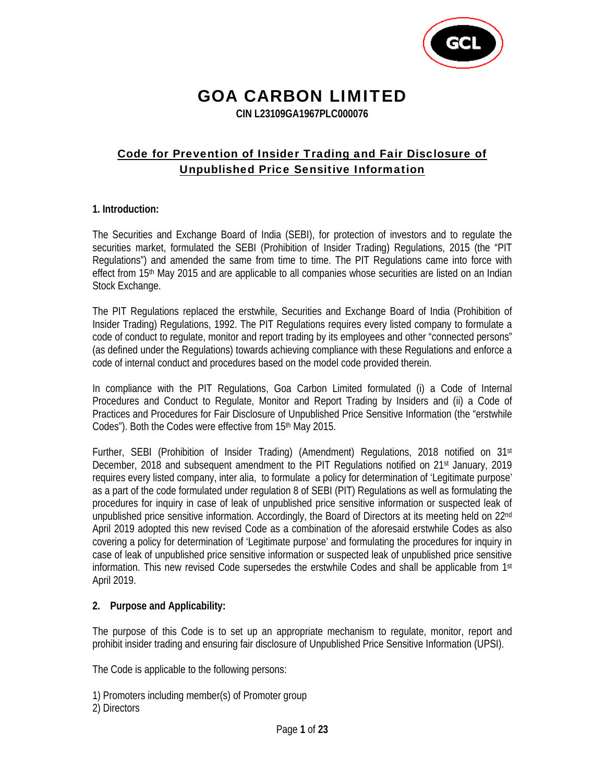

# GOA CARBON LIMITED

**CIN L23109GA1967PLC000076** 

# Code for Prevention of Insider Trading and Fair Disclosure of Unpublished Price Sensitive Information

## **1. Introduction:**

The Securities and Exchange Board of India (SEBI), for protection of investors and to regulate the securities market, formulated the SEBI (Prohibition of Insider Trading) Regulations, 2015 (the "PIT Regulations") and amended the same from time to time. The PIT Regulations came into force with effect from 15<sup>th</sup> May 2015 and are applicable to all companies whose securities are listed on an Indian Stock Exchange.

The PIT Regulations replaced the erstwhile, Securities and Exchange Board of India (Prohibition of Insider Trading) Regulations, 1992. The PIT Regulations requires every listed company to formulate a code of conduct to regulate, monitor and report trading by its employees and other "connected persons" (as defined under the Regulations) towards achieving compliance with these Regulations and enforce a code of internal conduct and procedures based on the model code provided therein.

In compliance with the PIT Regulations, Goa Carbon Limited formulated (i) a Code of Internal Procedures and Conduct to Regulate, Monitor and Report Trading by Insiders and (ii) a Code of Practices and Procedures for Fair Disclosure of Unpublished Price Sensitive Information (the "erstwhile Codes"). Both the Codes were effective from 15<sup>th</sup> May 2015.

Further, SEBI (Prohibition of Insider Trading) (Amendment) Regulations, 2018 notified on  $31<sup>st</sup>$ December, 2018 and subsequent amendment to the PIT Regulations notified on 21st January, 2019 requires every listed company, inter alia, to formulate a policy for determination of 'Legitimate purpose' as a part of the code formulated under regulation 8 of SEBI (PIT) Regulations as well as formulating the procedures for inquiry in case of leak of unpublished price sensitive information or suspected leak of unpublished price sensitive information. Accordingly, the Board of Directors at its meeting held on 22<sup>nd</sup> April 2019 adopted this new revised Code as a combination of the aforesaid erstwhile Codes as also covering a policy for determination of 'Legitimate purpose' and formulating the procedures for inquiry in case of leak of unpublished price sensitive information or suspected leak of unpublished price sensitive information. This new revised Code supersedes the erstwhile Codes and shall be applicable from  $1<sup>st</sup>$ April 2019.

## **2. Purpose and Applicability:**

The purpose of this Code is to set up an appropriate mechanism to regulate, monitor, report and prohibit insider trading and ensuring fair disclosure of Unpublished Price Sensitive Information (UPSI).

The Code is applicable to the following persons:

1) Promoters including member(s) of Promoter group

2) Directors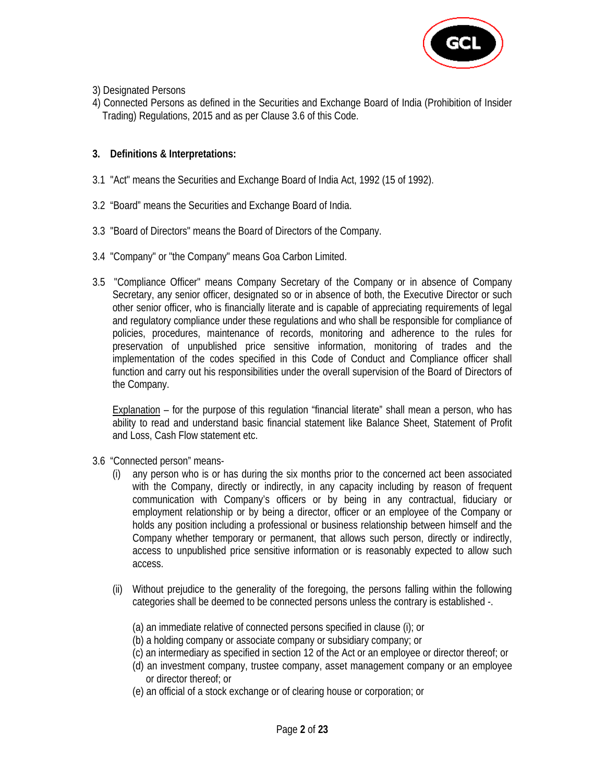

- 3) Designated Persons
- 4) Connected Persons as defined in the Securities and Exchange Board of India (Prohibition of Insider Trading) Regulations, 2015 and as per Clause 3.6 of this Code.

# **3. Definitions & Interpretations:**

- 3.1 "Act" means the Securities and Exchange Board of India Act, 1992 (15 of 1992).
- 3.2 "Board" means the Securities and Exchange Board of India.
- 3.3 "Board of Directors" means the Board of Directors of the Company.
- 3.4 "Company" or "the Company" means Goa Carbon Limited.
- 3.5 "Compliance Officer" means Company Secretary of the Company or in absence of Company Secretary, any senior officer, designated so or in absence of both, the Executive Director or such other senior officer, who is financially literate and is capable of appreciating requirements of legal and regulatory compliance under these regulations and who shall be responsible for compliance of policies, procedures, maintenance of records, monitoring and adherence to the rules for preservation of unpublished price sensitive information, monitoring of trades and the implementation of the codes specified in this Code of Conduct and Compliance officer shall function and carry out his responsibilities under the overall supervision of the Board of Directors of the Company.

**Explanation** – for the purpose of this regulation "financial literate" shall mean a person, who has ability to read and understand basic financial statement like Balance Sheet, Statement of Profit and Loss, Cash Flow statement etc.

- 3.6 "Connected person" means-
	- (i) any person who is or has during the six months prior to the concerned act been associated with the Company, directly or indirectly, in any capacity including by reason of frequent communication with Company's officers or by being in any contractual, fiduciary or employment relationship or by being a director, officer or an employee of the Company or holds any position including a professional or business relationship between himself and the Company whether temporary or permanent, that allows such person, directly or indirectly, access to unpublished price sensitive information or is reasonably expected to allow such access.
	- (ii) Without prejudice to the generality of the foregoing, the persons falling within the following categories shall be deemed to be connected persons unless the contrary is established -.
		- (a) an immediate relative of connected persons specified in clause (i); or
		- (b) a holding company or associate company or subsidiary company; or
		- (c) an intermediary as specified in section 12 of the Act or an employee or director thereof; or
		- (d) an investment company, trustee company, asset management company or an employee or director thereof; or
		- (e) an official of a stock exchange or of clearing house or corporation; or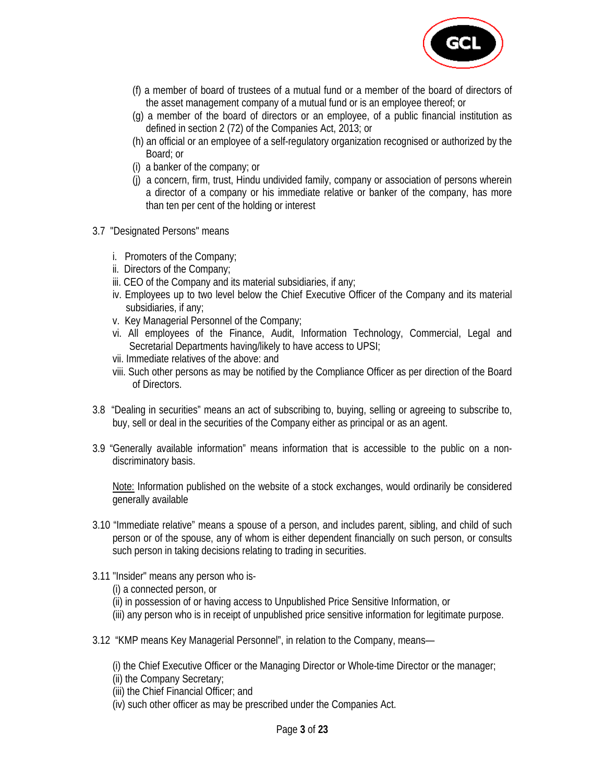

- (f) a member of board of trustees of a mutual fund or a member of the board of directors of the asset management company of a mutual fund or is an employee thereof; or
- (g) a member of the board of directors or an employee, of a public financial institution as defined in section 2 (72) of the Companies Act, 2013; or
- (h) an official or an employee of a self-regulatory organization recognised or authorized by the Board; or
- (i) a banker of the company; or
- (j) a concern, firm, trust, Hindu undivided family, company or association of persons wherein a director of a company or his immediate relative or banker of the company, has more than ten per cent of the holding or interest
- 3.7 "Designated Persons" means
	- i. Promoters of the Company;
	- ii. Directors of the Company;
	- iii. CEO of the Company and its material subsidiaries, if any;
	- iv. Employees up to two level below the Chief Executive Officer of the Company and its material subsidiaries, if any;
	- v. Key Managerial Personnel of the Company;
	- vi. All employees of the Finance, Audit, Information Technology, Commercial, Legal and Secretarial Departments having/likely to have access to UPSI;
	- vii. Immediate relatives of the above: and
	- viii. Such other persons as may be notified by the Compliance Officer as per direction of the Board of Directors.
- 3.8 "Dealing in securities" means an act of subscribing to, buying, selling or agreeing to subscribe to, buy, sell or deal in the securities of the Company either as principal or as an agent.
- 3.9 "Generally available information" means information that is accessible to the public on a nondiscriminatory basis.

 Note: Information published on the website of a stock exchanges, would ordinarily be considered generally available

- 3.10 "Immediate relative" means a spouse of a person, and includes parent, sibling, and child of such person or of the spouse, any of whom is either dependent financially on such person, or consults such person in taking decisions relating to trading in securities.
- 3.11 "Insider" means any person who is-
	- (i) a connected person, or
	- (ii) in possession of or having access to Unpublished Price Sensitive Information, or
	- (iii) any person who is in receipt of unpublished price sensitive information for legitimate purpose.
- 3.12 "KMP means Key Managerial Personnel", in relation to the Company, means—

(i) the Chief Executive Officer or the Managing Director or Whole-time Director or the manager;

- (ii) the Company Secretary;
- (iii) the Chief Financial Officer; and
- (iv) such other officer as may be prescribed under the Companies Act.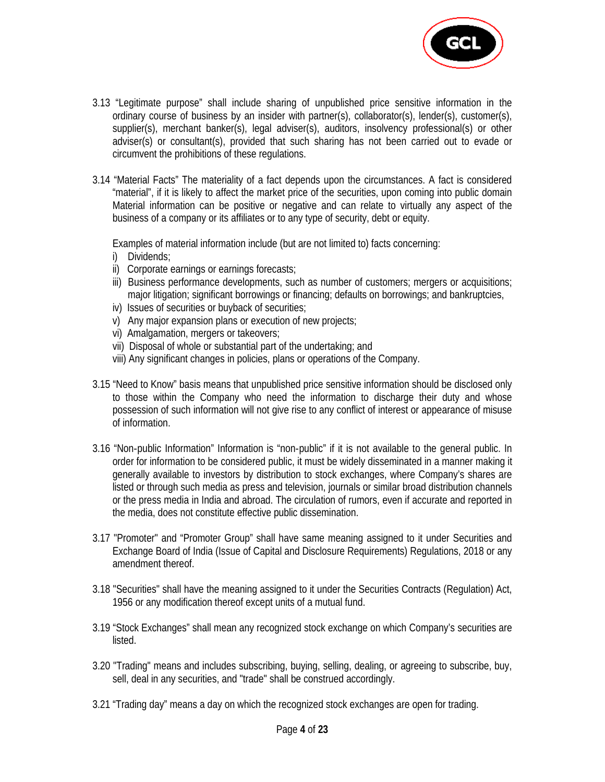

- 3.13 "Legitimate purpose" shall include sharing of unpublished price sensitive information in the ordinary course of business by an insider with partner(s), collaborator(s), lender(s), customer(s), supplier(s), merchant banker(s), legal adviser(s), auditors, insolvency professional(s) or other adviser(s) or consultant(s), provided that such sharing has not been carried out to evade or circumvent the prohibitions of these regulations.
- 3.14 "Material Facts" The materiality of a fact depends upon the circumstances. A fact is considered "material", if it is likely to affect the market price of the securities, upon coming into public domain Material information can be positive or negative and can relate to virtually any aspect of the business of a company or its affiliates or to any type of security, debt or equity.

Examples of material information include (but are not limited to) facts concerning:

- i) Dividends;
- ii) Corporate earnings or earnings forecasts;
- iii) Business performance developments, such as number of customers; mergers or acquisitions; major litigation; significant borrowings or financing; defaults on borrowings; and bankruptcies,
- iv) Issues of securities or buyback of securities;
- v) Any major expansion plans or execution of new projects;
- vi) Amalgamation, mergers or takeovers;
- vii) Disposal of whole or substantial part of the undertaking; and
- viii) Any significant changes in policies, plans or operations of the Company.
- 3.15 "Need to Know" basis means that unpublished price sensitive information should be disclosed only to those within the Company who need the information to discharge their duty and whose possession of such information will not give rise to any conflict of interest or appearance of misuse of information.
- 3.16 "Non‐public Information" Information is "non‐public" if it is not available to the general public. In order for information to be considered public, it must be widely disseminated in a manner making it generally available to investors by distribution to stock exchanges, where Company's shares are listed or through such media as press and television, journals or similar broad distribution channels or the press media in India and abroad. The circulation of rumors, even if accurate and reported in the media, does not constitute effective public dissemination.
- 3.17 "Promoter" and "Promoter Group" shall have same meaning assigned to it under Securities and Exchange Board of India (Issue of Capital and Disclosure Requirements) Regulations, 2018 or any amendment thereof.
- 3.18 "Securities" shall have the meaning assigned to it under the Securities Contracts (Regulation) Act, 1956 or any modification thereof except units of a mutual fund.
- 3.19 "Stock Exchanges" shall mean any recognized stock exchange on which Company's securities are listed.
- 3.20 "Trading" means and includes subscribing, buying, selling, dealing, or agreeing to subscribe, buy, sell, deal in any securities, and "trade" shall be construed accordingly.
- 3.21 "Trading day" means a day on which the recognized stock exchanges are open for trading.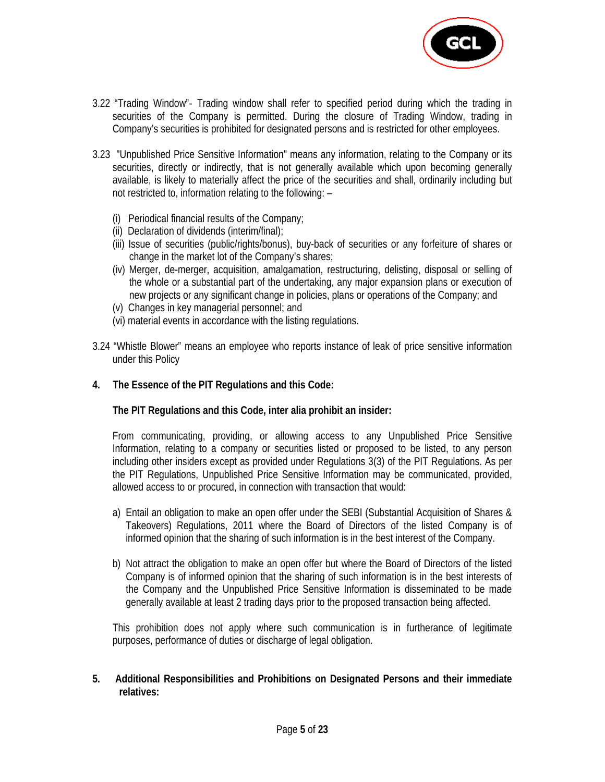

- 3.22 "Trading Window"‐ Trading window shall refer to specified period during which the trading in securities of the Company is permitted. During the closure of Trading Window, trading in Company's securities is prohibited for designated persons and is restricted for other employees.
- 3.23 "Unpublished Price Sensitive Information" means any information, relating to the Company or its securities, directly or indirectly, that is not generally available which upon becoming generally available, is likely to materially affect the price of the securities and shall, ordinarily including but not restricted to, information relating to the following: –
	- (i) Periodical financial results of the Company;
	- (ii) Declaration of dividends (interim/final);
	- (iii) Issue of securities (public/rights/bonus), buy-back of securities or any forfeiture of shares or change in the market lot of the Company's shares;
	- (iv) Merger, de-merger, acquisition, amalgamation, restructuring, delisting, disposal or selling of the whole or a substantial part of the undertaking, any major expansion plans or execution of new projects or any significant change in policies, plans or operations of the Company; and
	- (v) Changes in key managerial personnel; and
	- (vi) material events in accordance with the listing regulations.
- 3.24 "Whistle Blower" means an employee who reports instance of leak of price sensitive information under this Policy
- **4. The Essence of the PIT Regulations and this Code:**

## **The PIT Regulations and this Code, inter alia prohibit an insider:**

 From communicating, providing, or allowing access to any Unpublished Price Sensitive Information, relating to a company or securities listed or proposed to be listed, to any person including other insiders except as provided under Regulations 3(3) of the PIT Regulations. As per the PIT Regulations, Unpublished Price Sensitive Information may be communicated, provided, allowed access to or procured, in connection with transaction that would:

- a) Entail an obligation to make an open offer under the SEBI (Substantial Acquisition of Shares & Takeovers) Regulations, 2011 where the Board of Directors of the listed Company is of informed opinion that the sharing of such information is in the best interest of the Company.
- b) Not attract the obligation to make an open offer but where the Board of Directors of the listed Company is of informed opinion that the sharing of such information is in the best interests of the Company and the Unpublished Price Sensitive Information is disseminated to be made generally available at least 2 trading days prior to the proposed transaction being affected.

This prohibition does not apply where such communication is in furtherance of legitimate purposes, performance of duties or discharge of legal obligation.

**5. Additional Responsibilities and Prohibitions on Designated Persons and their immediate relatives:**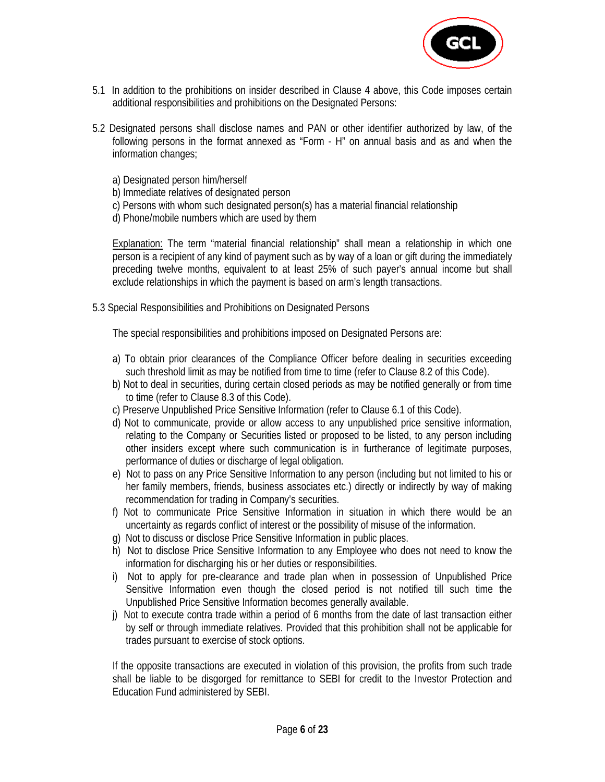

- 5.1 In addition to the prohibitions on insider described in Clause 4 above, this Code imposes certain additional responsibilities and prohibitions on the Designated Persons:
- 5.2 Designated persons shall disclose names and PAN or other identifier authorized by law, of the following persons in the format annexed as "Form - H" on annual basis and as and when the information changes;
	- a) Designated person him/herself
	- b) Immediate relatives of designated person
	- c) Persons with whom such designated person(s) has a material financial relationship
	- d) Phone/mobile numbers which are used by them

**Explanation:** The term "material financial relationship" shall mean a relationship in which one person is a recipient of any kind of payment such as by way of a loan or gift during the immediately preceding twelve months, equivalent to at least 25% of such payer's annual income but shall exclude relationships in which the payment is based on arm's length transactions.

5.3 Special Responsibilities and Prohibitions on Designated Persons

The special responsibilities and prohibitions imposed on Designated Persons are:

- a) To obtain prior clearances of the Compliance Officer before dealing in securities exceeding such threshold limit as may be notified from time to time (refer to Clause 8.2 of this Code).
- b) Not to deal in securities, during certain closed periods as may be notified generally or from time to time (refer to Clause 8.3 of this Code).
- c) Preserve Unpublished Price Sensitive Information (refer to Clause 6.1 of this Code).
- d) Not to communicate, provide or allow access to any unpublished price sensitive information, relating to the Company or Securities listed or proposed to be listed, to any person including other insiders except where such communication is in furtherance of legitimate purposes, performance of duties or discharge of legal obligation.
- e) Not to pass on any Price Sensitive Information to any person (including but not limited to his or her family members, friends, business associates etc.) directly or indirectly by way of making recommendation for trading in Company's securities.
- f) Not to communicate Price Sensitive Information in situation in which there would be an uncertainty as regards conflict of interest or the possibility of misuse of the information.
- g) Not to discuss or disclose Price Sensitive Information in public places.
- h) Not to disclose Price Sensitive Information to any Employee who does not need to know the information for discharging his or her duties or responsibilities.
- i) Not to apply for pre‐clearance and trade plan when in possession of Unpublished Price Sensitive Information even though the closed period is not notified till such time the Unpublished Price Sensitive Information becomes generally available.
- j) Not to execute contra trade within a period of 6 months from the date of last transaction either by self or through immediate relatives. Provided that this prohibition shall not be applicable for trades pursuant to exercise of stock options.

 If the opposite transactions are executed in violation of this provision, the profits from such trade shall be liable to be disgorged for remittance to SEBI for credit to the Investor Protection and Education Fund administered by SEBI.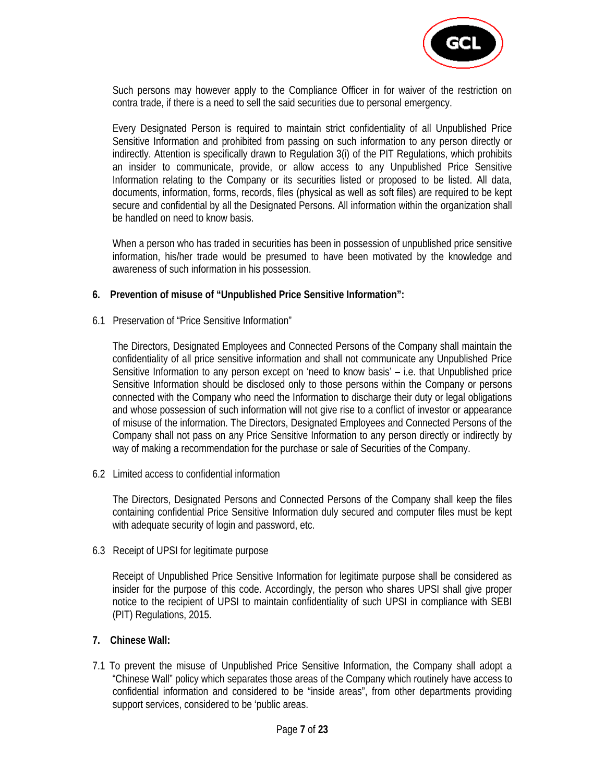

 Such persons may however apply to the Compliance Officer in for waiver of the restriction on contra trade, if there is a need to sell the said securities due to personal emergency.

 Every Designated Person is required to maintain strict confidentiality of all Unpublished Price Sensitive Information and prohibited from passing on such information to any person directly or indirectly. Attention is specifically drawn to Regulation 3(i) of the PIT Regulations, which prohibits an insider to communicate, provide, or allow access to any Unpublished Price Sensitive Information relating to the Company or its securities listed or proposed to be listed. All data, documents, information, forms, records, files (physical as well as soft files) are required to be kept secure and confidential by all the Designated Persons. All information within the organization shall be handled on need to know basis.

 When a person who has traded in securities has been in possession of unpublished price sensitive information, his/her trade would be presumed to have been motivated by the knowledge and awareness of such information in his possession.

#### **6. Prevention of misuse of "Unpublished Price Sensitive Information":**

6.1 Preservation of "Price Sensitive Information"

The Directors, Designated Employees and Connected Persons of the Company shall maintain the confidentiality of all price sensitive information and shall not communicate any Unpublished Price Sensitive Information to any person except on 'need to know basis' – i.e. that Unpublished price Sensitive Information should be disclosed only to those persons within the Company or persons connected with the Company who need the Information to discharge their duty or legal obligations and whose possession of such information will not give rise to a conflict of investor or appearance of misuse of the information. The Directors, Designated Employees and Connected Persons of the Company shall not pass on any Price Sensitive Information to any person directly or indirectly by way of making a recommendation for the purchase or sale of Securities of the Company.

6.2 Limited access to confidential information

The Directors, Designated Persons and Connected Persons of the Company shall keep the files containing confidential Price Sensitive Information duly secured and computer files must be kept with adequate security of login and password, etc.

6.3 Receipt of UPSI for legitimate purpose

Receipt of Unpublished Price Sensitive Information for legitimate purpose shall be considered as insider for the purpose of this code. Accordingly, the person who shares UPSI shall give proper notice to the recipient of UPSI to maintain confidentiality of such UPSI in compliance with SEBI (PIT) Regulations, 2015.

## **7. Chinese Wall:**

7.1 To prevent the misuse of Unpublished Price Sensitive Information, the Company shall adopt a "Chinese Wall" policy which separates those areas of the Company which routinely have access to confidential information and considered to be "inside areas", from other departments providing support services, considered to be 'public areas.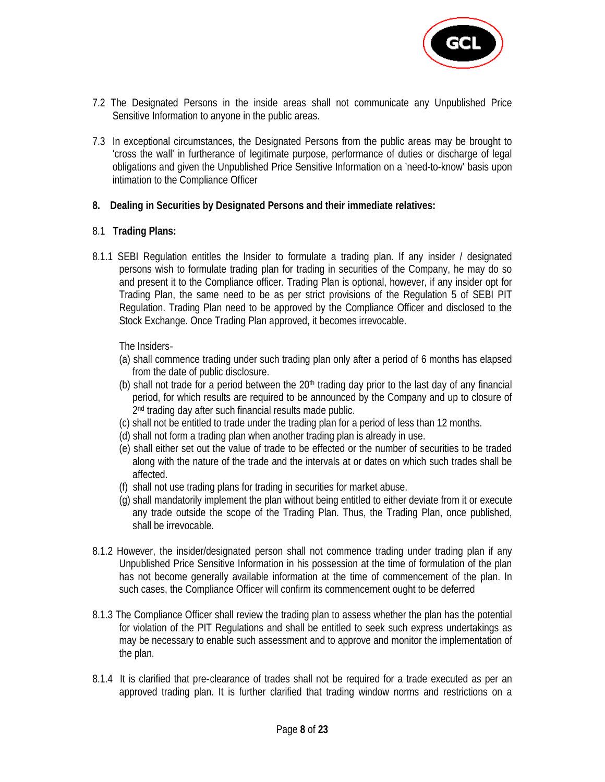

- 7.2 The Designated Persons in the inside areas shall not communicate any Unpublished Price Sensitive Information to anyone in the public areas.
- 7.3 In exceptional circumstances, the Designated Persons from the public areas may be brought to 'cross the wall' in furtherance of legitimate purpose, performance of duties or discharge of legal obligations and given the Unpublished Price Sensitive Information on a 'need-to-know' basis upon intimation to the Compliance Officer
- **8. Dealing in Securities by Designated Persons and their immediate relatives:**

## 8.1 **Trading Plans:**

8.1.1 SEBI Regulation entitles the Insider to formulate a trading plan. If any insider / designated persons wish to formulate trading plan for trading in securities of the Company, he may do so and present it to the Compliance officer. Trading Plan is optional, however, if any insider opt for Trading Plan, the same need to be as per strict provisions of the Regulation 5 of SEBI PIT Regulation. Trading Plan need to be approved by the Compliance Officer and disclosed to the Stock Exchange. Once Trading Plan approved, it becomes irrevocable.

The Insiders‐

- (a) shall commence trading under such trading plan only after a period of 6 months has elapsed from the date of public disclosure.
- (b) shall not trade for a period between the  $20<sup>th</sup>$  trading day prior to the last day of any financial period, for which results are required to be announced by the Company and up to closure of 2<sup>nd</sup> trading day after such financial results made public.
- (c) shall not be entitled to trade under the trading plan for a period of less than 12 months.
- (d) shall not form a trading plan when another trading plan is already in use.
- (e) shall either set out the value of trade to be effected or the number of securities to be traded along with the nature of the trade and the intervals at or dates on which such trades shall be affected.
- (f) shall not use trading plans for trading in securities for market abuse.
- (g) shall mandatorily implement the plan without being entitled to either deviate from it or execute any trade outside the scope of the Trading Plan. Thus, the Trading Plan, once published, shall be irrevocable.
- 8.1.2 However, the insider/designated person shall not commence trading under trading plan if any Unpublished Price Sensitive Information in his possession at the time of formulation of the plan has not become generally available information at the time of commencement of the plan. In such cases, the Compliance Officer will confirm its commencement ought to be deferred
- 8.1.3 The Compliance Officer shall review the trading plan to assess whether the plan has the potential for violation of the PIT Regulations and shall be entitled to seek such express undertakings as may be necessary to enable such assessment and to approve and monitor the implementation of the plan.
- 8.1.4 It is clarified that pre-clearance of trades shall not be required for a trade executed as per an approved trading plan. It is further clarified that trading window norms and restrictions on a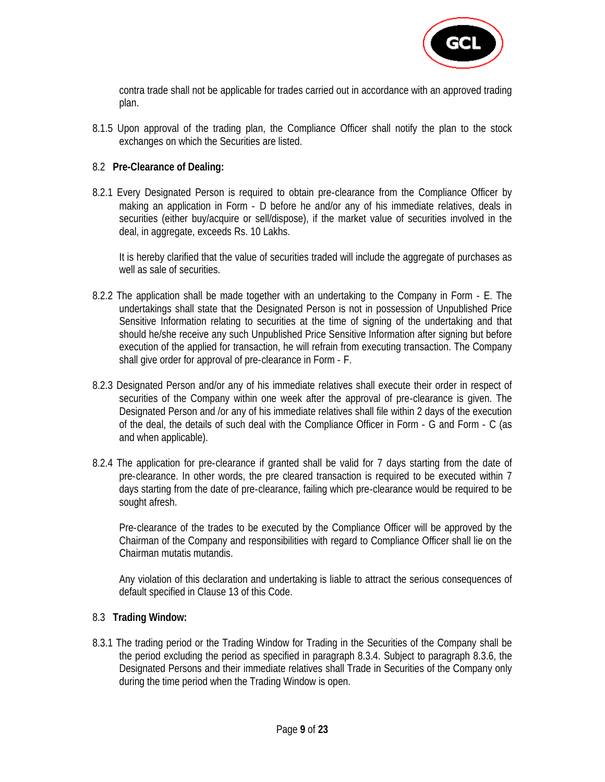

contra trade shall not be applicable for trades carried out in accordance with an approved trading plan.

8.1.5 Upon approval of the trading plan, the Compliance Officer shall notify the plan to the stock exchanges on which the Securities are listed.

## 8.2 **Pre-Clearance of Dealing:**

8.2.1 Every Designated Person is required to obtain pre‐clearance from the Compliance Officer by making an application in Form ‐ D before he and/or any of his immediate relatives, deals in securities (either buy/acquire or sell/dispose), if the market value of securities involved in the deal, in aggregate, exceeds Rs. 10 Lakhs.

 It is hereby clarified that the value of securities traded will include the aggregate of purchases as well as sale of securities.

- 8.2.2 The application shall be made together with an undertaking to the Company in Form ‐ E. The undertakings shall state that the Designated Person is not in possession of Unpublished Price Sensitive Information relating to securities at the time of signing of the undertaking and that should he/she receive any such Unpublished Price Sensitive Information after signing but before execution of the applied for transaction, he will refrain from executing transaction. The Company shall give order for approval of pre‐clearance in Form ‐ F.
- 8.2.3 Designated Person and/or any of his immediate relatives shall execute their order in respect of securities of the Company within one week after the approval of pre‐clearance is given. The Designated Person and /or any of his immediate relatives shall file within 2 days of the execution of the deal, the details of such deal with the Compliance Officer in Form ‐ G and Form ‐ C (as and when applicable).
- 8.2.4 The application for pre‐clearance if granted shall be valid for 7 days starting from the date of pre‐clearance. In other words, the pre cleared transaction is required to be executed within 7 days starting from the date of pre‐clearance, failing which pre‐clearance would be required to be sought afresh.

 Pre‐clearance of the trades to be executed by the Compliance Officer will be approved by the Chairman of the Company and responsibilities with regard to Compliance Officer shall lie on the Chairman mutatis mutandis.

 Any violation of this declaration and undertaking is liable to attract the serious consequences of default specified in Clause 13 of this Code.

## 8.3 **Trading Window:**

8.3.1 The trading period or the Trading Window for Trading in the Securities of the Company shall be the period excluding the period as specified in paragraph 8.3.4. Subject to paragraph 8.3.6, the Designated Persons and their immediate relatives shall Trade in Securities of the Company only during the time period when the Trading Window is open.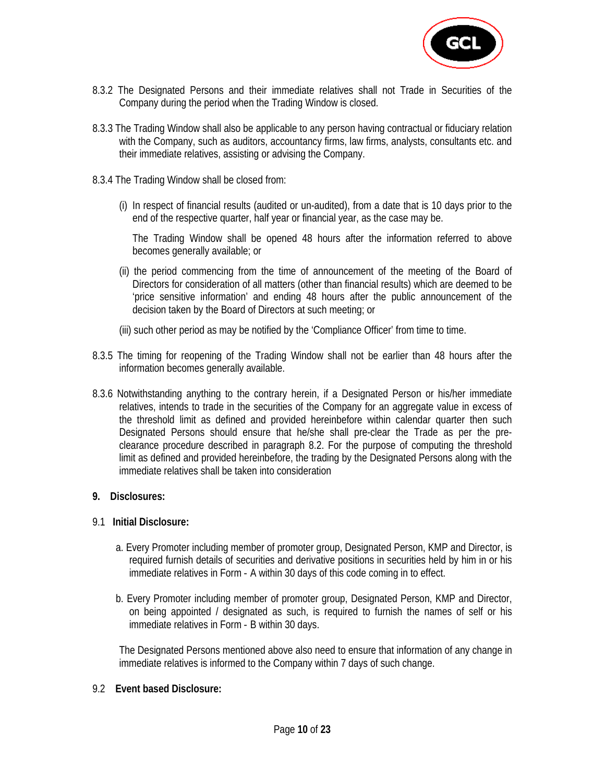

- 8.3.2 The Designated Persons and their immediate relatives shall not Trade in Securities of the Company during the period when the Trading Window is closed.
- 8.3.3 The Trading Window shall also be applicable to any person having contractual or fiduciary relation with the Company, such as auditors, accountancy firms, law firms, analysts, consultants etc. and their immediate relatives, assisting or advising the Company.
- 8.3.4 The Trading Window shall be closed from:
	- (i) In respect of financial results (audited or un-audited), from a date that is 10 days prior to the end of the respective quarter, half year or financial year, as the case may be.

The Trading Window shall be opened 48 hours after the information referred to above becomes generally available; or

- (ii) the period commencing from the time of announcement of the meeting of the Board of Directors for consideration of all matters (other than financial results) which are deemed to be 'price sensitive information' and ending 48 hours after the public announcement of the decision taken by the Board of Directors at such meeting; or
- (iii) such other period as may be notified by the 'Compliance Officer' from time to time.
- 8.3.5 The timing for reopening of the Trading Window shall not be earlier than 48 hours after the information becomes generally available.
- 8.3.6 Notwithstanding anything to the contrary herein, if a Designated Person or his/her immediate relatives, intends to trade in the securities of the Company for an aggregate value in excess of the threshold limit as defined and provided hereinbefore within calendar quarter then such Designated Persons should ensure that he/she shall pre-clear the Trade as per the preclearance procedure described in paragraph 8.2. For the purpose of computing the threshold limit as defined and provided hereinbefore, the trading by the Designated Persons along with the immediate relatives shall be taken into consideration

## **9. Disclosures:**

## 9.1 **Initial Disclosure:**

- a. Every Promoter including member of promoter group, Designated Person, KMP and Director, is required furnish details of securities and derivative positions in securities held by him in or his immediate relatives in Form - A within 30 days of this code coming in to effect.
- b. Every Promoter including member of promoter group, Designated Person, KMP and Director, on being appointed / designated as such, is required to furnish the names of self or his immediate relatives in Form - B within 30 days.

 The Designated Persons mentioned above also need to ensure that information of any change in immediate relatives is informed to the Company within 7 days of such change.

## 9.2 **Event based Disclosure:**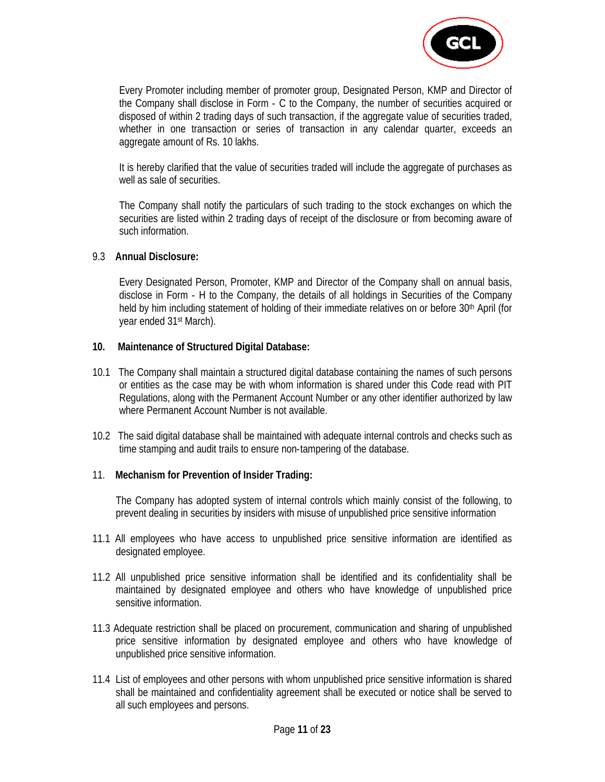

 Every Promoter including member of promoter group, Designated Person, KMP and Director of the Company shall disclose in Form ‐ C to the Company, the number of securities acquired or disposed of within 2 trading days of such transaction, if the aggregate value of securities traded, whether in one transaction or series of transaction in any calendar quarter, exceeds an aggregate amount of Rs. 10 lakhs.

 It is hereby clarified that the value of securities traded will include the aggregate of purchases as well as sale of securities.

 The Company shall notify the particulars of such trading to the stock exchanges on which the securities are listed within 2 trading days of receipt of the disclosure or from becoming aware of such information.

#### 9.3 **Annual Disclosure:**

 Every Designated Person, Promoter, KMP and Director of the Company shall on annual basis, disclose in Form ‐ H to the Company, the details of all holdings in Securities of the Company held by him including statement of holding of their immediate relatives on or before 30<sup>th</sup> April (for year ended 31st March).

#### **10. Maintenance of Structured Digital Database:**

- 10.1 The Company shall maintain a structured digital database containing the names of such persons or entities as the case may be with whom information is shared under this Code read with PIT Regulations, along with the Permanent Account Number or any other identifier authorized by law where Permanent Account Number is not available.
- 10.2 The said digital database shall be maintained with adequate internal controls and checks such as time stamping and audit trails to ensure non‐tampering of the database.

## 11. **Mechanism for Prevention of Insider Trading:**

 The Company has adopted system of internal controls which mainly consist of the following, to prevent dealing in securities by insiders with misuse of unpublished price sensitive information

- 11.1 All employees who have access to unpublished price sensitive information are identified as designated employee.
- 11.2 All unpublished price sensitive information shall be identified and its confidentiality shall be maintained by designated employee and others who have knowledge of unpublished price sensitive information.
- 11.3 Adequate restriction shall be placed on procurement, communication and sharing of unpublished price sensitive information by designated employee and others who have knowledge of unpublished price sensitive information.
- 11.4 List of employees and other persons with whom unpublished price sensitive information is shared shall be maintained and confidentiality agreement shall be executed or notice shall be served to all such employees and persons.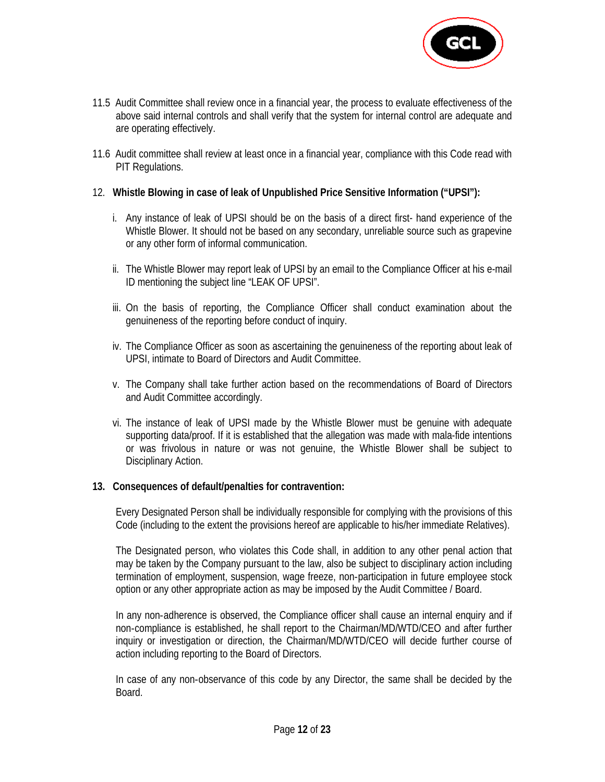

- 11.5 Audit Committee shall review once in a financial year, the process to evaluate effectiveness of the above said internal controls and shall verify that the system for internal control are adequate and are operating effectively.
- 11.6 Audit committee shall review at least once in a financial year, compliance with this Code read with PIT Regulations.
- 12. **Whistle Blowing in case of leak of Unpublished Price Sensitive Information ("UPSI"):** 
	- i. Any instance of leak of UPSI should be on the basis of a direct first- hand experience of the Whistle Blower. It should not be based on any secondary, unreliable source such as grapevine or any other form of informal communication.
	- ii. The Whistle Blower may report leak of UPSI by an email to the Compliance Officer at his e-mail ID mentioning the subject line "LEAK OF UPSI".
	- iii. On the basis of reporting, the Compliance Officer shall conduct examination about the genuineness of the reporting before conduct of inquiry.
	- iv. The Compliance Officer as soon as ascertaining the genuineness of the reporting about leak of UPSI, intimate to Board of Directors and Audit Committee.
	- v. The Company shall take further action based on the recommendations of Board of Directors and Audit Committee accordingly.
	- vi. The instance of leak of UPSI made by the Whistle Blower must be genuine with adequate supporting data/proof. If it is established that the allegation was made with mala-fide intentions or was frivolous in nature or was not genuine, the Whistle Blower shall be subject to Disciplinary Action.

## **13. Consequences of default/penalties for contravention:**

 Every Designated Person shall be individually responsible for complying with the provisions of this Code (including to the extent the provisions hereof are applicable to his/her immediate Relatives).

 The Designated person, who violates this Code shall, in addition to any other penal action that may be taken by the Company pursuant to the law, also be subject to disciplinary action including termination of employment, suspension, wage freeze, non‐participation in future employee stock option or any other appropriate action as may be imposed by the Audit Committee / Board.

 In any non‐adherence is observed, the Compliance officer shall cause an internal enquiry and if non‐compliance is established, he shall report to the Chairman/MD/WTD/CEO and after further inquiry or investigation or direction, the Chairman/MD/WTD/CEO will decide further course of action including reporting to the Board of Directors.

 In case of any non‐observance of this code by any Director, the same shall be decided by the Board.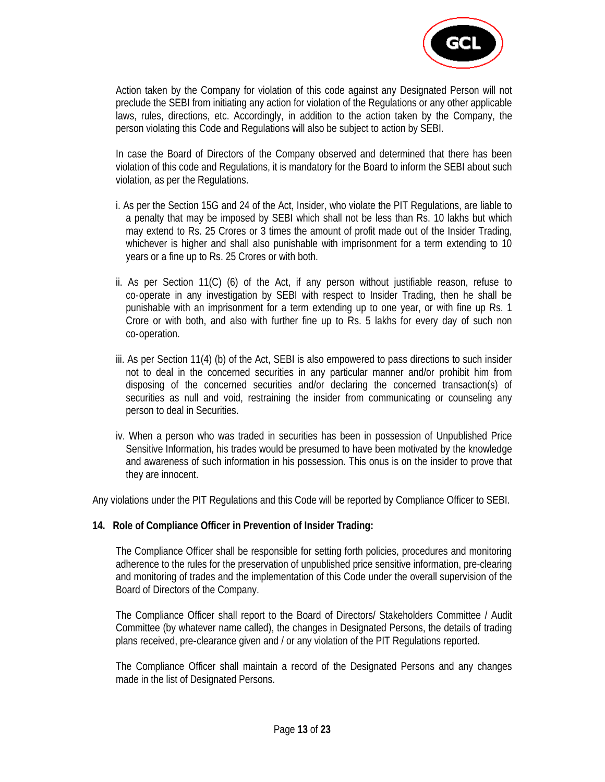

 Action taken by the Company for violation of this code against any Designated Person will not preclude the SEBI from initiating any action for violation of the Regulations or any other applicable laws, rules, directions, etc. Accordingly, in addition to the action taken by the Company, the person violating this Code and Regulations will also be subject to action by SEBI.

 In case the Board of Directors of the Company observed and determined that there has been violation of this code and Regulations, it is mandatory for the Board to inform the SEBI about such violation, as per the Regulations.

- i. As per the Section 15G and 24 of the Act, Insider, who violate the PIT Regulations, are liable to a penalty that may be imposed by SEBI which shall not be less than Rs. 10 lakhs but which may extend to Rs. 25 Crores or 3 times the amount of profit made out of the Insider Trading, whichever is higher and shall also punishable with imprisonment for a term extending to 10 years or a fine up to Rs. 25 Crores or with both.
- ii. As per Section 11(C) (6) of the Act, if any person without justifiable reason, refuse to co‐operate in any investigation by SEBI with respect to Insider Trading, then he shall be punishable with an imprisonment for a term extending up to one year, or with fine up Rs. 1 Crore or with both, and also with further fine up to Rs. 5 lakhs for every day of such non co‐operation.
- iii. As per Section 11(4) (b) of the Act, SEBI is also empowered to pass directions to such insider not to deal in the concerned securities in any particular manner and/or prohibit him from disposing of the concerned securities and/or declaring the concerned transaction(s) of securities as null and void, restraining the insider from communicating or counseling any person to deal in Securities.
- iv. When a person who was traded in securities has been in possession of Unpublished Price Sensitive Information, his trades would be presumed to have been motivated by the knowledge and awareness of such information in his possession. This onus is on the insider to prove that they are innocent.

Any violations under the PIT Regulations and this Code will be reported by Compliance Officer to SEBI.

#### **14. Role of Compliance Officer in Prevention of Insider Trading:**

 The Compliance Officer shall be responsible for setting forth policies, procedures and monitoring adherence to the rules for the preservation of unpublished price sensitive information, pre-clearing and monitoring of trades and the implementation of this Code under the overall supervision of the Board of Directors of the Company.

 The Compliance Officer shall report to the Board of Directors/ Stakeholders Committee / Audit Committee (by whatever name called), the changes in Designated Persons, the details of trading plans received, pre‐clearance given and / or any violation of the PIT Regulations reported.

 The Compliance Officer shall maintain a record of the Designated Persons and any changes made in the list of Designated Persons.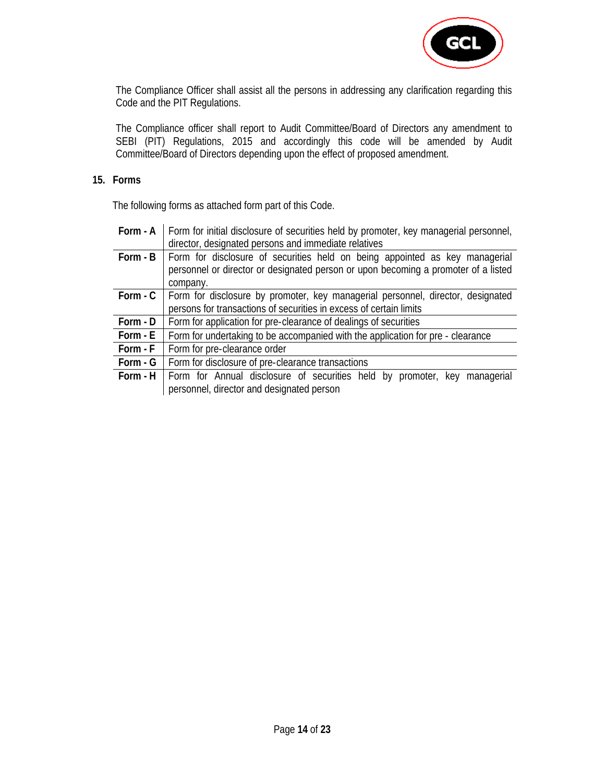

 The Compliance Officer shall assist all the persons in addressing any clarification regarding this Code and the PIT Regulations.

 The Compliance officer shall report to Audit Committee/Board of Directors any amendment to SEBI (PIT) Regulations, 2015 and accordingly this code will be amended by Audit Committee/Board of Directors depending upon the effect of proposed amendment.

## **15. Forms**

The following forms as attached form part of this Code.

| director, designated persons and immediate relatives                                             |
|--------------------------------------------------------------------------------------------------|
| Form - A   Form for initial disclosure of securities held by promoter, key managerial personnel, |

|          | <b>Form - B</b>   Form for disclosure of securities held on being appointed as key managerial   |
|----------|-------------------------------------------------------------------------------------------------|
|          | personnel or director or designated person or upon becoming a promoter of a listed              |
|          | company.                                                                                        |
|          | <b>Form - C</b> Form for disclosure by promoter, key managerial personnel, director, designated |
|          | persons for transactions of securities in excess of certain limits                              |
| Form - D | Form for application for pre-clearance of dealings of securities                                |
| Form - E | Form for undertaking to be accompanied with the application for pre - clearance                 |
| Form - F | Form for pre-clearance order                                                                    |
| Form - G | Form for disclosure of pre-clearance transactions                                               |
| Form - H | Form for Annual disclosure of securities held by promoter, key managerial                       |
|          | personnel, director and designated person                                                       |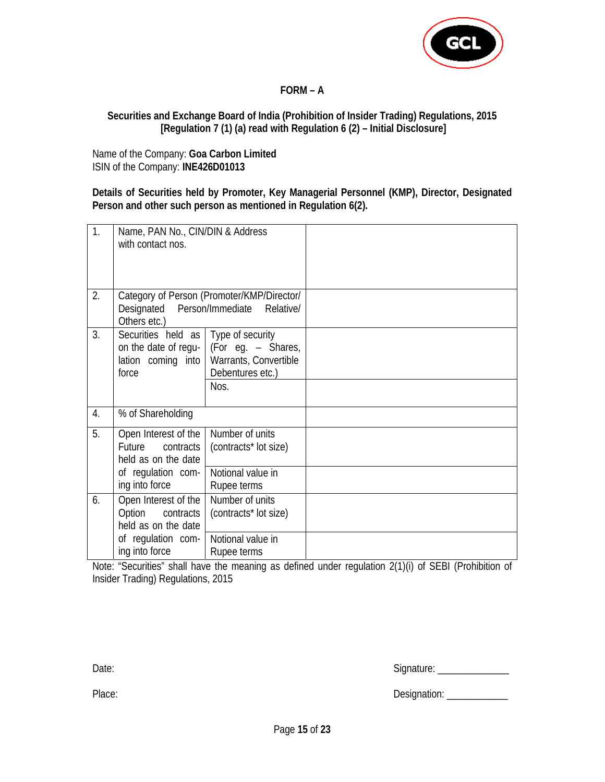

# **FORM – A**

## **Securities and Exchange Board of India (Prohibition of Insider Trading) Regulations, 2015 [Regulation 7 (1) (a) read with Regulation 6 (2) – Initial Disclosure]**

Name of the Company: **Goa Carbon Limited** ISIN of the Company: **INE426D01013**

**Details of Securities held by Promoter, Key Managerial Personnel (KMP), Director, Designated Person and other such person as mentioned in Regulation 6(2).** 

| $\overline{1}$ . | Name, PAN No., CIN/DIN & Address<br>with contact nos.                                                      |                                                                                                  |  |
|------------------|------------------------------------------------------------------------------------------------------------|--------------------------------------------------------------------------------------------------|--|
| 2.               | Designated<br>Others etc.)                                                                                 | Category of Person (Promoter/KMP/Director/<br>Person/Immediate Relative/                         |  |
| 3.               | Securities held as   Type of security<br>lation coming into<br>force                                       | on the date of regu- $ $ (For eg. – Shares,<br>Warrants, Convertible<br>Debentures etc.)<br>Nos. |  |
| 4.               | % of Shareholding                                                                                          |                                                                                                  |  |
| 5.               | Open Interest of the<br>Future contracts<br>held as on the date<br>of regulation com-<br>ing into force    | Number of units<br>(contracts* lot size)<br>Notional value in<br>Rupee terms                     |  |
| 6.               | Open Interest of the<br>Option<br>contracts<br>held as on the date<br>of regulation com-<br>ing into force | Number of units<br>(contracts* lot size)<br>Notional value in<br>Rupee terms                     |  |

Note: "Securities" shall have the meaning as defined under regulation 2(1)(i) of SEBI (Prohibition of Insider Trading) Regulations, 2015

| Date: | Signature: |
|-------|------------|
|       |            |

| Place: | Designation: |
|--------|--------------|
|        |              |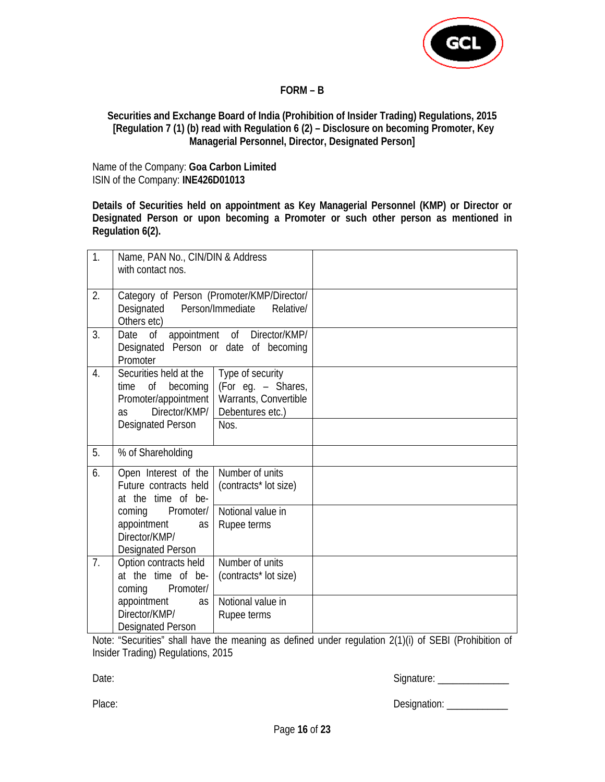

## **FORM – B**

## **Securities and Exchange Board of India (Prohibition of Insider Trading) Regulations, 2015 [Regulation 7 (1) (b) read with Regulation 6 (2) – Disclosure on becoming Promoter, Key Managerial Personnel, Director, Designated Person]**

Name of the Company: **Goa Carbon Limited** ISIN of the Company: **INE426D01013**

**Details of Securities held on appointment as Key Managerial Personnel (KMP) or Director or Designated Person or upon becoming a Promoter or such other person as mentioned in Regulation 6(2).** 

| 1.             | Name, PAN No., CIN/DIN & Address<br>with contact nos.                                                                       |                                                                                             |  |
|----------------|-----------------------------------------------------------------------------------------------------------------------------|---------------------------------------------------------------------------------------------|--|
| 2.             | Designated<br>Others etc)                                                                                                   | Category of Person (Promoter/KMP/Director/<br>Person/Immediate<br>Relative/                 |  |
| 3.             | Date<br>0f<br>Designated Person or date of becoming<br>Promoter                                                             | appointment of Director/KMP/                                                                |  |
| 4.             | Securities held at the<br>Οf<br>becoming<br>time<br>Promoter/appointment<br>Director/KMP/<br>as<br><b>Designated Person</b> | Type of security<br>(For eg. - Shares,<br>Warrants, Convertible<br>Debentures etc.)<br>Nos. |  |
| 5.             | % of Shareholding                                                                                                           |                                                                                             |  |
| 6.             | Open Interest of the<br>Future contracts held<br>at the time of be-                                                         | Number of units<br>(contracts* lot size)                                                    |  |
|                | Promoter/<br>coming<br>appointment<br>as<br>Director/KMP/<br><b>Designated Person</b>                                       | Notional value in<br>Rupee terms                                                            |  |
| 7 <sub>1</sub> | Option contracts held<br>at the time of be-<br>Promoter/<br>coming                                                          | Number of units<br>(contracts* lot size)                                                    |  |
|                | appointment<br>as<br>Director/KMP/<br><b>Designated Person</b>                                                              | Notional value in<br>Rupee terms                                                            |  |

Note: "Securities" shall have the meaning as defined under regulation 2(1)(i) of SEBI (Prohibition of Insider Trading) Regulations, 2015

Date: 2008. [2010] Contract 2012 12: 2012 12: 2012 12: 2012 12: 2012 12: 2012 12: 2012 12: 2012 12: 2012 12: 20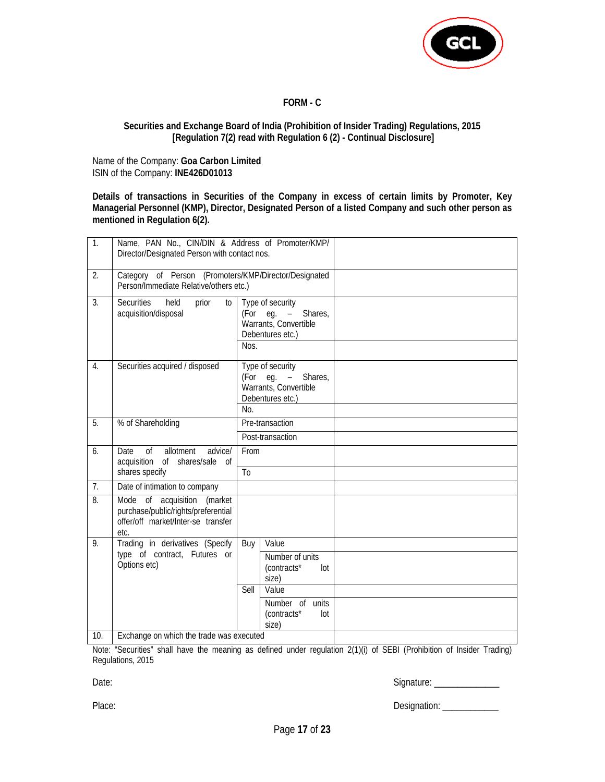

**FORM - C** 

#### **Securities and Exchange Board of India (Prohibition of Insider Trading) Regulations, 2015 [Regulation 7(2) read with Regulation 6 (2) - Continual Disclosure]**

Name of the Company: **Goa Carbon Limited** ISIN of the Company: **INE426D01013**

**Details of transactions in Securities of the Company in excess of certain limits by Promoter, Key Managerial Personnel (KMP), Director, Designated Person of a listed Company and such other person as mentioned in Regulation 6(2).** 

| 1.               | Name, PAN No., CIN/DIN & Address of Promoter/KMP/<br>Director/Designated Person with contact nos.                |                                                                                                                                      |  |
|------------------|------------------------------------------------------------------------------------------------------------------|--------------------------------------------------------------------------------------------------------------------------------------|--|
| 2.               | Category of Person (Promoters/KMP/Director/Designated<br>Person/Immediate Relative/others etc.)                  |                                                                                                                                      |  |
| 3.               | held<br><b>Securities</b><br>prior<br>$\overline{10}$<br>acquisition/disposal                                    | Type of security<br>(For eg. $-$<br>Shares,<br>Warrants, Convertible<br>Debentures etc.)<br>Nos.                                     |  |
| $\overline{4}$ . | Securities acquired / disposed                                                                                   | Type of security<br>(For eg. $-$<br>Shares,<br>Warrants, Convertible<br>Debentures etc.)<br>No.                                      |  |
| 5.               | % of Shareholding                                                                                                | Pre-transaction                                                                                                                      |  |
|                  |                                                                                                                  | Post-transaction                                                                                                                     |  |
| 6.               | allotment<br>$\sigma$<br>advice/<br>Date<br>acquisition of<br>shares/sale of<br>shares specify                   | From<br>T <sub>0</sub>                                                                                                               |  |
| 7.               | Date of intimation to company                                                                                    |                                                                                                                                      |  |
| 8.               | Mode of acquisition (market<br>purchase/public/rights/preferential<br>offer/off market/Inter-se transfer<br>etc. |                                                                                                                                      |  |
| 9.               | Trading in derivatives (Specify<br>type of contract, Futures or<br>Options etc)                                  | Value<br>Buy<br>Number of units<br>(contracts*<br>lot<br>size)<br>Value<br>Sell<br>Number of units<br>(contracts*<br>$I$ ot<br>size) |  |
| 10.              | Exchange on which the trade was executed                                                                         |                                                                                                                                      |  |

Note: "Securities" shall have the meaning as defined under regulation 2(1)(i) of SEBI (Prohibition of Insider Trading) Regulations, 2015

Date: Signature: \_\_\_\_\_\_\_\_\_\_\_\_\_\_

Place: example and the contract of the contract of the Designation: \_\_\_\_\_\_\_\_\_\_\_\_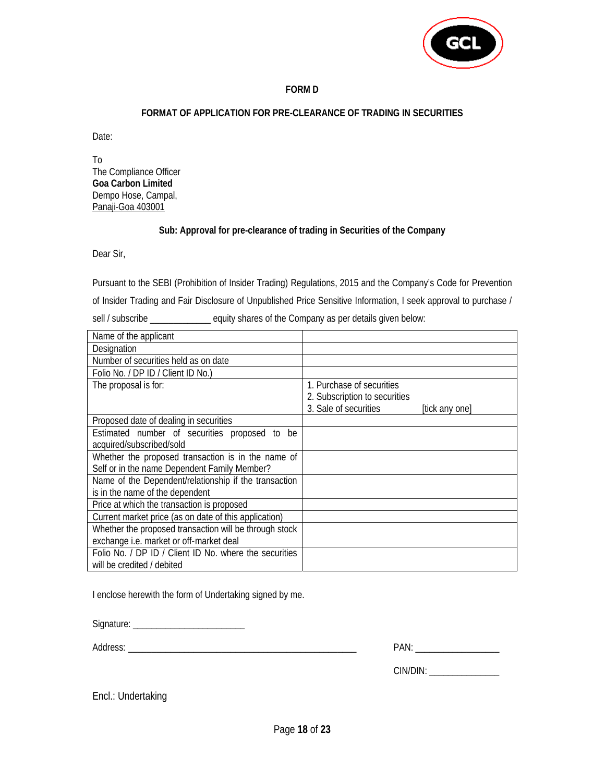

#### **FORM D**

#### **FORMAT OF APPLICATION FOR PRE-CLEARANCE OF TRADING IN SECURITIES**

Date:

To The Compliance Officer **Goa Carbon Limited**  Dempo Hose, Campal, Panaji-Goa 403001

#### **Sub: Approval for pre-clearance of trading in Securities of the Company**

Dear Sir,

Pursuant to the SEBI (Prohibition of Insider Trading) Regulations, 2015 and the Company's Code for Prevention

of Insider Trading and Fair Disclosure of Unpublished Price Sensitive Information, I seek approval to purchase /

sell / subscribe \_\_\_\_\_\_\_\_\_\_\_\_\_\_ equity shares of the Company as per details given below:

| Name of the applicant                                  |                               |                |
|--------------------------------------------------------|-------------------------------|----------------|
| Designation                                            |                               |                |
| Number of securities held as on date                   |                               |                |
| Folio No. / DP ID / Client ID No.)                     |                               |                |
| The proposal is for:                                   | 1. Purchase of securities     |                |
|                                                        | 2. Subscription to securities |                |
|                                                        | 3. Sale of securities         | [tick any one] |
| Proposed date of dealing in securities                 |                               |                |
| Estimated number of securities proposed to be          |                               |                |
| acquired/subscribed/sold                               |                               |                |
| Whether the proposed transaction is in the name of     |                               |                |
| Self or in the name Dependent Family Member?           |                               |                |
| Name of the Dependent/relationship if the transaction  |                               |                |
| is in the name of the dependent                        |                               |                |
| Price at which the transaction is proposed             |                               |                |
| Current market price (as on date of this application)  |                               |                |
| Whether the proposed transaction will be through stock |                               |                |
| exchange i.e. market or off-market deal                |                               |                |
| Folio No. / DP ID / Client ID No. where the securities |                               |                |
| will be credited / debited                             |                               |                |

I enclose herewith the form of Undertaking signed by me.

| Signature:<br>·اب ب |  |
|---------------------|--|
|                     |  |

Address: \_\_\_\_\_\_\_\_\_\_\_\_\_\_\_\_\_\_\_\_\_\_\_\_\_\_\_\_\_\_\_\_\_\_\_\_\_\_\_\_\_\_\_\_\_\_\_\_\_ PAN: \_\_\_\_\_\_\_\_\_\_\_\_\_\_\_\_\_\_

| PAN |  |
|-----|--|
|     |  |

CIN/DIN: \_\_\_\_\_\_\_\_\_\_\_\_\_\_\_\_\_\_\_\_

Encl.: Undertaking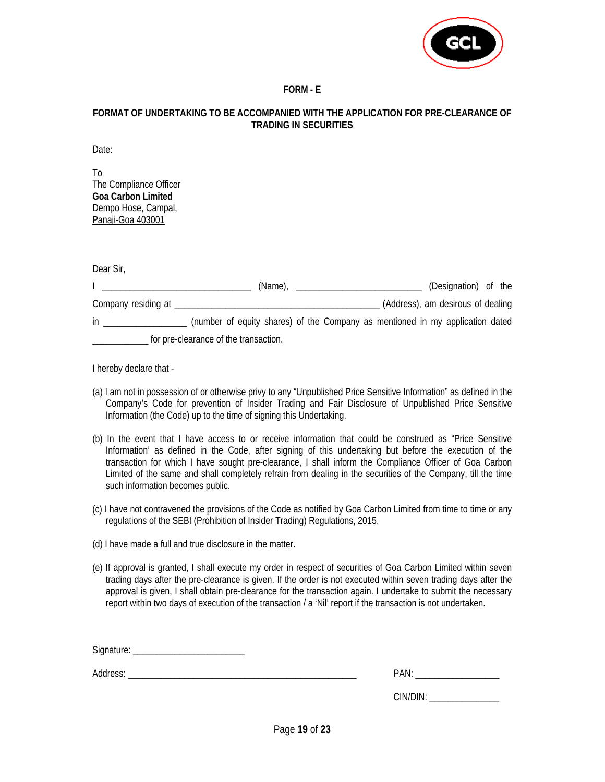

## **FORM - E**

#### **FORMAT OF UNDERTAKING TO BE ACCOMPANIED WITH THE APPLICATION FOR PRE-CLEARANCE OF TRADING IN SECURITIES**

Date:

To The Compliance Officer **Goa Carbon Limited**  Dempo Hose, Campal, Panaji-Goa 403001

Dear Sir,

|                     |                                       | (Name), |  | (Designation) of the                                                          |  |
|---------------------|---------------------------------------|---------|--|-------------------------------------------------------------------------------|--|
| Company residing at |                                       |         |  | (Address), am desirous of dealing                                             |  |
| in                  |                                       |         |  | (number of equity shares) of the Company as mentioned in my application dated |  |
|                     | for pre-clearance of the transaction. |         |  |                                                                               |  |

I hereby declare that -

- (a) I am not in possession of or otherwise privy to any "Unpublished Price Sensitive Information" as defined in the Company's Code for prevention of Insider Trading and Fair Disclosure of Unpublished Price Sensitive Information (the Code) up to the time of signing this Undertaking.
- (b) In the event that I have access to or receive information that could be construed as "Price Sensitive Information' as defined in the Code, after signing of this undertaking but before the execution of the transaction for which I have sought pre-clearance, I shall inform the Compliance Officer of Goa Carbon Limited of the same and shall completely refrain from dealing in the securities of the Company, till the time such information becomes public.
- (c) I have not contravened the provisions of the Code as notified by Goa Carbon Limited from time to time or any regulations of the SEBI (Prohibition of Insider Trading) Regulations, 2015.
- (d) I have made a full and true disclosure in the matter.
- (e) If approval is granted, I shall execute my order in respect of securities of Goa Carbon Limited within seven trading days after the pre-clearance is given. If the order is not executed within seven trading days after the approval is given, I shall obtain pre-clearance for the transaction again. I undertake to submit the necessary report within two days of execution of the transaction / a 'Nil' report if the transaction is not undertaken.

Signature: \_\_\_\_\_\_\_\_\_\_\_\_\_\_\_\_\_\_\_\_\_\_\_\_

Address: \_\_\_\_\_\_\_\_\_\_\_\_\_\_\_\_\_\_\_\_\_\_\_\_\_\_\_\_\_\_\_\_\_\_\_\_\_\_\_\_\_\_\_\_\_\_\_\_\_ PAN: \_\_\_\_\_\_\_\_\_\_\_\_\_\_\_\_\_\_

CIN/DIN: \_\_\_\_\_\_\_\_\_\_\_\_\_\_\_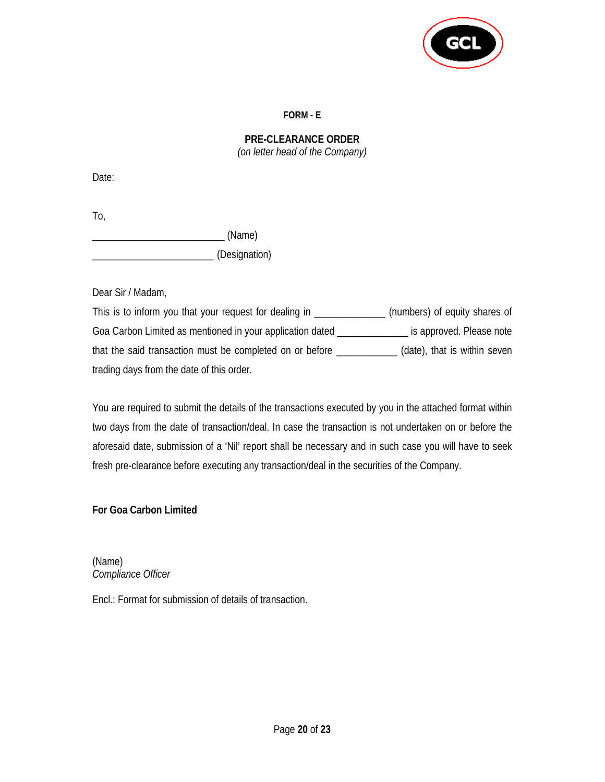

## **FORM - E**

# **PRE-CLEARANCE ORDER**  *(on letter head of the Company)*

Date:

To, \_\_\_\_\_\_\_\_\_\_\_\_\_\_\_\_\_\_\_\_\_\_\_\_\_\_ (Name) \_\_\_\_\_\_\_\_\_\_\_\_\_\_\_\_\_\_\_\_\_\_\_\_ (Designation)

Dear Sir / Madam,

This is to inform you that your request for dealing in \_\_\_\_\_\_\_\_\_\_\_\_\_\_\_(numbers) of equity shares of Goa Carbon Limited as mentioned in your application dated **with the summum** is approved. Please note that the said transaction must be completed on or before \_\_\_\_\_\_\_\_\_\_\_\_ (date), that is within seven trading days from the date of this order.

You are required to submit the details of the transactions executed by you in the attached format within two days from the date of transaction/deal. In case the transaction is not undertaken on or before the aforesaid date, submission of a 'Nil' report shall be necessary and in such case you will have to seek fresh pre-clearance before executing any transaction/deal in the securities of the Company.

# **For Goa Carbon Limited**

(Name) *Compliance Officer* 

Encl.: Format for submission of details of transaction.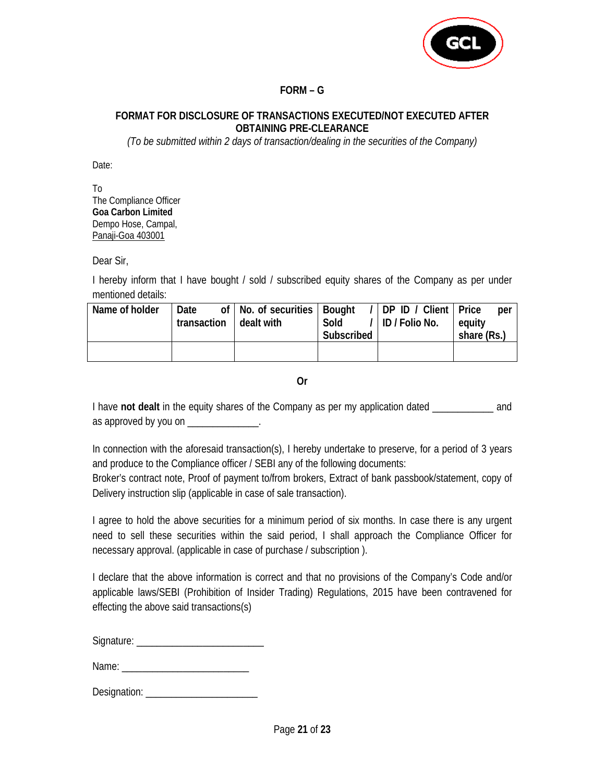

# **FORM – G**

# **FORMAT FOR DISCLOSURE OF TRANSACTIONS EXECUTED/NOT EXECUTED AFTER OBTAINING PRE-CLEARANCE**

*(To be submitted within 2 days of transaction/dealing in the securities of the Company)* 

Date:

To The Compliance Officer **Goa Carbon Limited**  Dempo Hose, Campal, Panaji-Goa 403001

Dear Sir,

I hereby inform that I have bought / sold / subscribed equity shares of the Company as per under mentioned details:

| Name of holder | Date |  | of   No. of securities   Bought<br>transaction   dealt with<br>Sold |  | Subscribed | /   DP ID / Client   Price<br>/ ID / Folio No. | per<br>equity<br>share (Rs.) |  |
|----------------|------|--|---------------------------------------------------------------------|--|------------|------------------------------------------------|------------------------------|--|
|                |      |  |                                                                     |  |            |                                                |                              |  |

**Or** 

I have **not dealt** in the equity shares of the Company as per my application dated \_\_\_\_\_\_\_\_\_\_\_\_ and as approved by you on \_\_\_\_\_\_\_\_\_\_\_\_\_\_.

In connection with the aforesaid transaction(s), I hereby undertake to preserve, for a period of 3 years and produce to the Compliance officer / SEBI any of the following documents:

Broker's contract note, Proof of payment to/from brokers, Extract of bank passbook/statement, copy of Delivery instruction slip (applicable in case of sale transaction).

I agree to hold the above securities for a minimum period of six months. In case there is any urgent need to sell these securities within the said period, I shall approach the Compliance Officer for necessary approval. (applicable in case of purchase / subscription ).

I declare that the above information is correct and that no provisions of the Company's Code and/or applicable laws/SEBI (Prohibition of Insider Trading) Regulations, 2015 have been contravened for effecting the above said transactions(s)

Signature: \_\_\_\_\_\_\_\_\_\_\_\_\_\_\_\_\_\_\_\_\_\_\_\_\_

Name:  $\blacksquare$ 

Designation: \_\_\_\_\_\_\_\_\_\_\_\_\_\_\_\_\_\_\_\_\_\_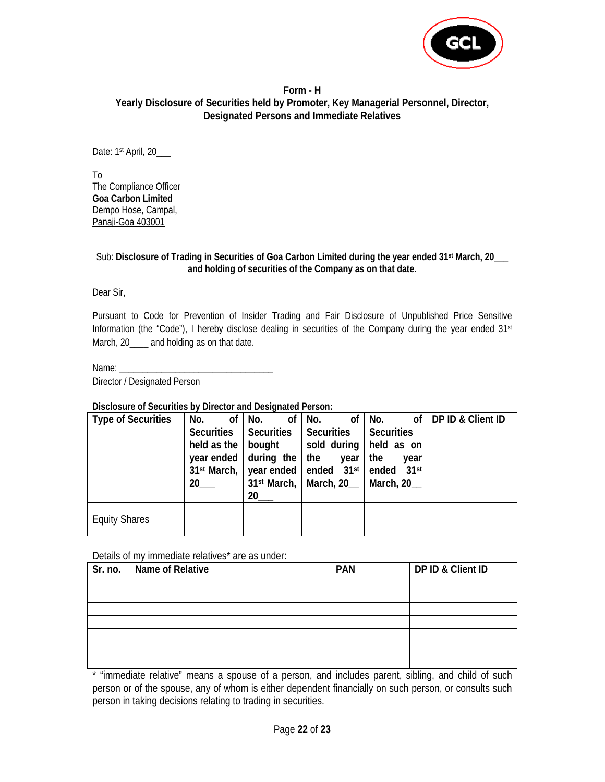

#### **Form - H Yearly Disclosure of Securities held by Promoter, Key Managerial Personnel, Director, Designated Persons and Immediate Relatives**

Date: 1st April, 20\_\_\_

To The Compliance Officer **Goa Carbon Limited**  Dempo Hose, Campal, Panaji-Goa 403001

#### Sub: Disclosure of Trading in Securities of Goa Carbon Limited during the year ended 31<sup>st</sup> March, 20\_\_\_ **and holding of securities of the Company as on that date.**

Dear Sir,

Pursuant to Code for Prevention of Insider Trading and Fair Disclosure of Unpublished Price Sensitive Information (the "Code"), I hereby disclose dealing in securities of the Company during the year ended 31st March, 20\_\_\_\_ and holding as on that date.

Name:

Director / Designated Person

**Disclosure of Securities by Director and Designated Person:** 

| <b>Type of Securities</b> | No.             | of No.<br>of <sub>1</sub>             | of<br>No.                                         | No.                      | of   DP ID & Client ID |
|---------------------------|-----------------|---------------------------------------|---------------------------------------------------|--------------------------|------------------------|
|                           |                 | Securities   Securities   Securities  |                                                   | <b>Securities</b>        |                        |
|                           | held as the $ $ | bought                                |                                                   | sold during   held as on |                        |
|                           |                 | year ended $\vert$ during the $\vert$ | the<br>year                                       | the<br>year              |                        |
|                           |                 |                                       | $31st March,$ year ended ended 31st               | ended 31st               |                        |
|                           | 20 <sub>2</sub> |                                       | $31$ <sup>st</sup> March,   March, 20   March, 20 |                          |                        |
|                           |                 | 20                                    |                                                   |                          |                        |
| <b>Equity Shares</b>      |                 |                                       |                                                   |                          |                        |

#### Details of my immediate relatives\* are as under:

| Sr. no. | Name of Relative | <b>PAN</b> | DP ID & Client ID |  |  |  |  |  |
|---------|------------------|------------|-------------------|--|--|--|--|--|
|         |                  |            |                   |  |  |  |  |  |
|         |                  |            |                   |  |  |  |  |  |
|         |                  |            |                   |  |  |  |  |  |
|         |                  |            |                   |  |  |  |  |  |
|         |                  |            |                   |  |  |  |  |  |
|         |                  |            |                   |  |  |  |  |  |
|         |                  |            |                   |  |  |  |  |  |

\* "immediate relative" means a spouse of a person, and includes parent, sibling, and child of such person or of the spouse, any of whom is either dependent financially on such person, or consults such person in taking decisions relating to trading in securities.